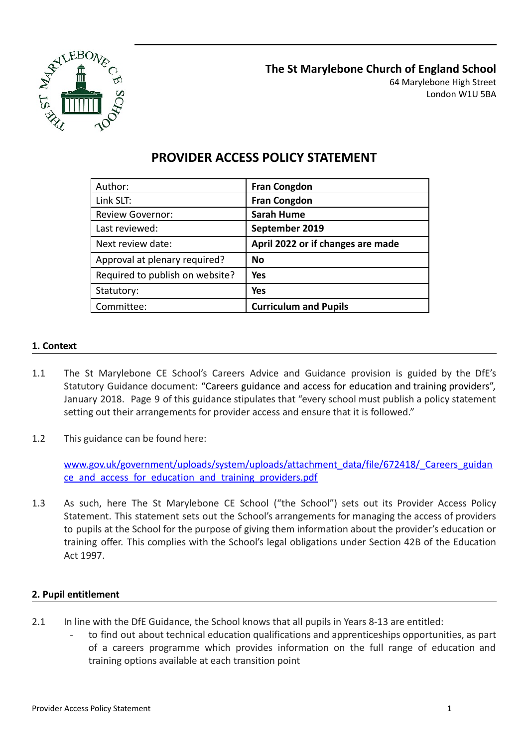

| Author:                         | <b>Fran Congdon</b>               |
|---------------------------------|-----------------------------------|
| Link SLT:                       | <b>Fran Congdon</b>               |
| Review Governor:                | <b>Sarah Hume</b>                 |
| Last reviewed:                  | September 2019                    |
| Next review date:               | April 2022 or if changes are made |
| Approval at plenary required?   | <b>No</b>                         |
| Required to publish on website? | <b>Yes</b>                        |
| Statutory:                      | <b>Yes</b>                        |
| Committee:                      | <b>Curriculum and Pupils</b>      |

# **PROVIDER ACCESS POLICY STATEMENT**

## **1. Context**

- 1.1 The St Marylebone CE School's Careers Advice and Guidance provision is guided by the DfE's Statutory Guidance document: "Careers guidance and access for [education](https://www.gov.uk/government/uploads/system/uploads/attachment_data/file/672418/_Careers_guidance_and_access_for_education_and_training_providers.pdf) and training providers", January 2018. Page 9 of this guidance stipulates that "every school must publish a policy statement setting out their arrangements for provider access and ensure that it is followed."
- 1.2 This guidance can be found here:

[www.gov.uk/government/uploads/system/uploads/attachment\\_data/file/672418/\\_Careers\\_guidan](http://www.gov.uk/government/uploads/system/uploads/attachment_data/file/672418/_Careers_guidance_and_access_for_education_and_training_providers.pdf) [ce\\_and\\_access\\_for\\_education\\_and\\_training\\_providers.pdf](http://www.gov.uk/government/uploads/system/uploads/attachment_data/file/672418/_Careers_guidance_and_access_for_education_and_training_providers.pdf)

1.3 As such, here The St Marylebone CE School ("the School") sets out its Provider Access Policy Statement. This statement sets out the School's arrangements for managing the access of providers to pupils at the School for the purpose of giving them information about the provider's education or training offer. This complies with the School's legal obligations under Section 42B of the Education Act 1997.

#### **2. Pupil entitlement**

- 2.1 In line with the DfE Guidance, the School knows that all pupils in Years 8-13 are entitled:
	- to find out about technical education qualifications and apprenticeships opportunities, as part of a careers programme which provides information on the full range of education and training options available at each transition point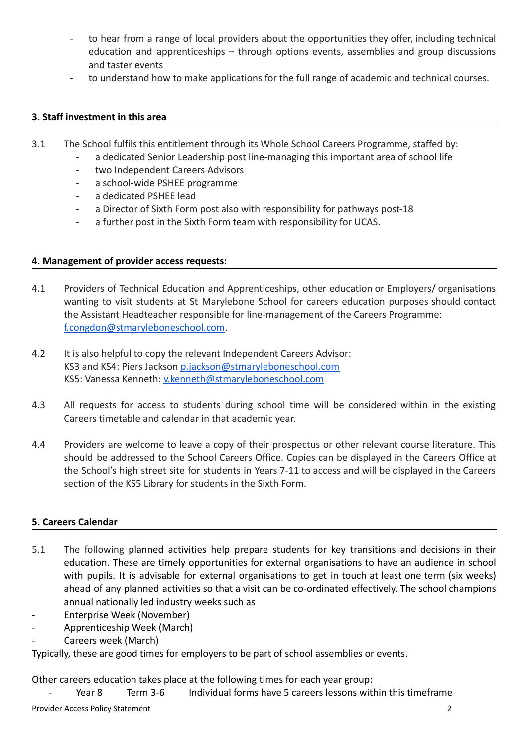- to hear from a range of local providers about the opportunities they offer, including technical education and apprenticeships – through options events, assemblies and group discussions and taster events
- to understand how to make applications for the full range of academic and technical courses.

#### **3. Staff investment in this area**

- 3.1 The School fulfils this entitlement through its Whole School Careers Programme, staffed by:
	- a dedicated Senior Leadership post line-managing this important area of school life
	- two Independent Careers Advisors
	- a school-wide PSHEE programme
	- a dedicated PSHEE lead
	- a Director of Sixth Form post also with responsibility for pathways post-18
	- a further post in the Sixth Form team with responsibility for UCAS.

#### **4. Management of provider access requests:**

- 4.1 Providers of Technical Education and Apprenticeships, other education or Employers/ organisations wanting to visit students at St Marylebone School for careers education purposes should contact the Assistant Headteacher responsible for line-management of the Careers Programme: [f.congdon@stmaryleboneschool.com](mailto:f.congdon@stmaryleboneschool.com).
- 4.2 It is also helpful to copy the relevant Independent Careers Advisor: KS3 and KS4: Piers Jackson [p.jackson@stmaryleboneschool.com](mailto:p.jackson@stmaryleboneschool.com) KS5: Vanessa Kenneth: [v.kenneth@stmaryleboneschool.com](mailto:v.kenneth@stmaryleboneschool.com)
- 4.3 All requests for access to students during school time will be considered within in the existing Careers timetable and calendar in that academic year.
- 4.4 Providers are welcome to leave a copy of their prospectus or other relevant course literature. This should be addressed to the School Careers Office. Copies can be displayed in the Careers Office at the School's high street site for students in Years 7-11 to access and will be displayed in the Careers section of the KS5 Library for students in the Sixth Form.

# **5. Careers Calendar**

- 5.1 The following planned activities help prepare students for key transitions and decisions in their education. These are timely opportunities for external organisations to have an audience in school with pupils. It is advisable for external organisations to get in touch at least one term (six weeks) ahead of any planned activities so that a visit can be co-ordinated effectively. The school champions annual nationally led industry weeks such as
- Enterprise Week (November)
- Apprenticeship Week (March)
- Careers week (March)

Typically, these are good times for employers to be part of school assemblies or events.

Other careers education takes place at the following times for each year group:

- Year 8 Term 3-6 Individual forms have 5 careers lessons within this timeframe